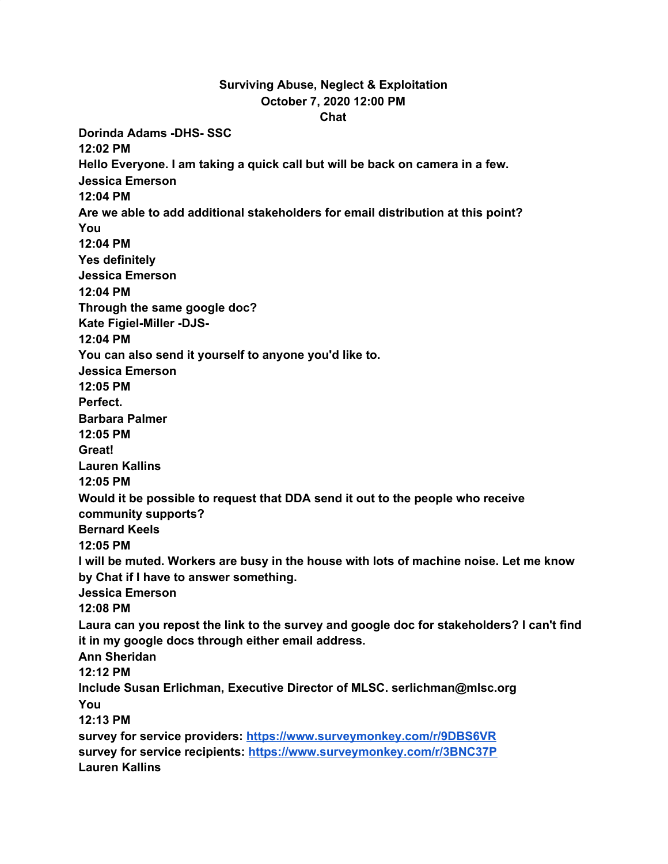## **Surviving Abuse, Neglect & Exploitation October 7, 2020 12:00 PM Chat**

**Dorinda Adams -DHS- SSC 12:02 PM Hello Everyone. I am taking a quick call but will be back on camera in a few. Jessica Emerson 12:04 PM Are we able to add additional stakeholders for email distribution at this point? You 12:04 PM Yes definitely Jessica Emerson 12:04 PM Through the same google doc? Kate Figiel-Miller -DJS-12:04 PM You can also send it yourself to anyone you'd like to. Jessica Emerson 12:05 PM Perfect. Barbara Palmer 12:05 PM Great! Lauren Kallins 12:05 PM Would it be possible to request that DDA send it out to the people who receive community supports? Bernard Keels 12:05 PM I will be muted. Workers are busy in the house with lots of machine noise. Let me know by Chat if I have to answer something. Jessica Emerson 12:08 PM Laura can you repost the link to the survey and google doc for stakeholders? I can't find it in my google docs through either email address. Ann Sheridan 12:12 PM Include Susan Erlichman, Executive Director of MLSC. serlichman@mlsc.org You 12:13 PM survey for service providers: [https://www.surveymonkey.com/r/9DBS6VR](https://meet.google.com/linkredirect?authuser=1&dest=https%3A%2F%2Fwww.surveymonkey.com%2Fr%2F9DBS6VR) survey for service recipients: [https://www.surveymonkey.com/r/3BNC37P](https://meet.google.com/linkredirect?authuser=1&dest=https%3A%2F%2Fwww.surveymonkey.com%2Fr%2F3BNC37P) Lauren Kallins**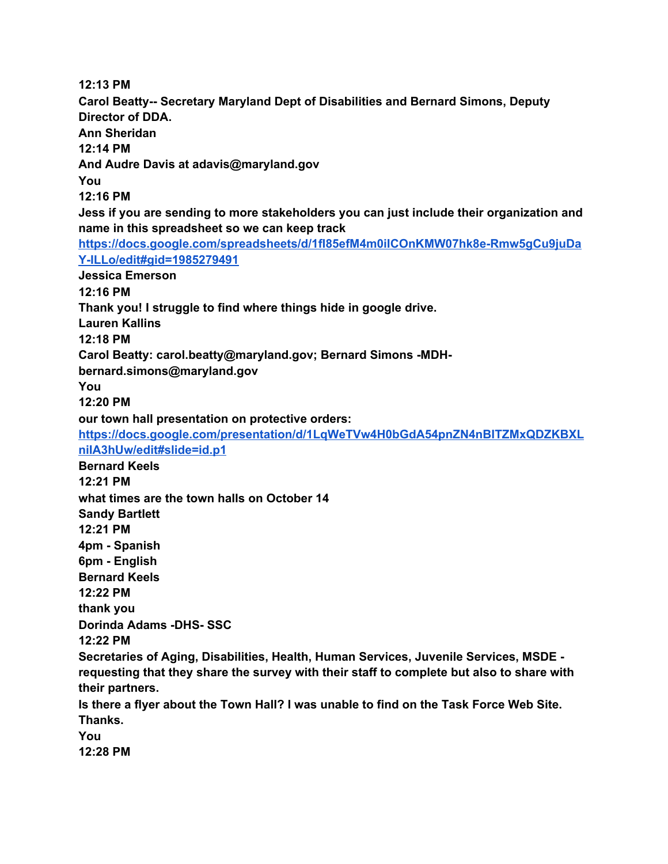**12:13 PM Carol Beatty-- Secretary Maryland Dept of Disabilities and Bernard Simons, Deputy Director of DDA. Ann Sheridan 12:14 PM And Audre Davis at adavis@maryland.gov You 12:16 PM Jess if you are sending to more stakeholders you can just include their organization and name in this spreadsheet so we can keep track [https://docs.google.com/spreadsheets/d/1fI85efM4m0iICOnKMW07hk8e-Rmw5gCu9juDa](https://meet.google.com/linkredirect?authuser=1&dest=https%3A%2F%2Fdocs.google.com%2Fspreadsheets%2Fd%2F1fI85efM4m0iICOnKMW07hk8e-Rmw5gCu9juDaY-ILLo%2Fedit%23gid%3D1985279491) [Y-ILLo/edit#gid=1985279491](https://meet.google.com/linkredirect?authuser=1&dest=https%3A%2F%2Fdocs.google.com%2Fspreadsheets%2Fd%2F1fI85efM4m0iICOnKMW07hk8e-Rmw5gCu9juDaY-ILLo%2Fedit%23gid%3D1985279491) Jessica Emerson 12:16 PM Thank you! I struggle to find where things hide in google drive. Lauren Kallins 12:18 PM Carol Beatty: carol.beatty@maryland.gov; Bernard Simons -MDHbernard.simons@maryland.gov You 12:20 PM our town hall presentation on protective orders[:](https://meet.google.com/linkredirect?authuser=1&dest=https%3A%2F%2Fdocs.google.com%2Fpresentation%2Fd%2F1LqWeTVw4H0bGdA54pnZN4nBITZMxQDZKBXLniIA3hUw%2Fedit%23slide%3Did.p1) [https://docs.google.com/presentation/d/1LqWeTVw4H0bGdA54pnZN4nBITZMxQDZKBXL](https://meet.google.com/linkredirect?authuser=1&dest=https%3A%2F%2Fdocs.google.com%2Fpresentation%2Fd%2F1LqWeTVw4H0bGdA54pnZN4nBITZMxQDZKBXLniIA3hUw%2Fedit%23slide%3Did.p1) [niIA3hUw/edit#slide=id.p1](https://meet.google.com/linkredirect?authuser=1&dest=https%3A%2F%2Fdocs.google.com%2Fpresentation%2Fd%2F1LqWeTVw4H0bGdA54pnZN4nBITZMxQDZKBXLniIA3hUw%2Fedit%23slide%3Did.p1) Bernard Keels 12:21 PM what times are the town halls on October 14 Sandy Bartlett 12:21 PM 4pm - Spanish 6pm - English Bernard Keels 12:22 PM thank you Dorinda Adams -DHS- SSC 12:22 PM Secretaries of Aging, Disabilities, Health, Human Services, Juvenile Services, MSDE requesting that they share the survey with their staff to complete but also to share with their partners. Is there a flyer about the Town Hall? I was unable to find on the Task Force Web Site. Thanks. You**

**12:28 PM**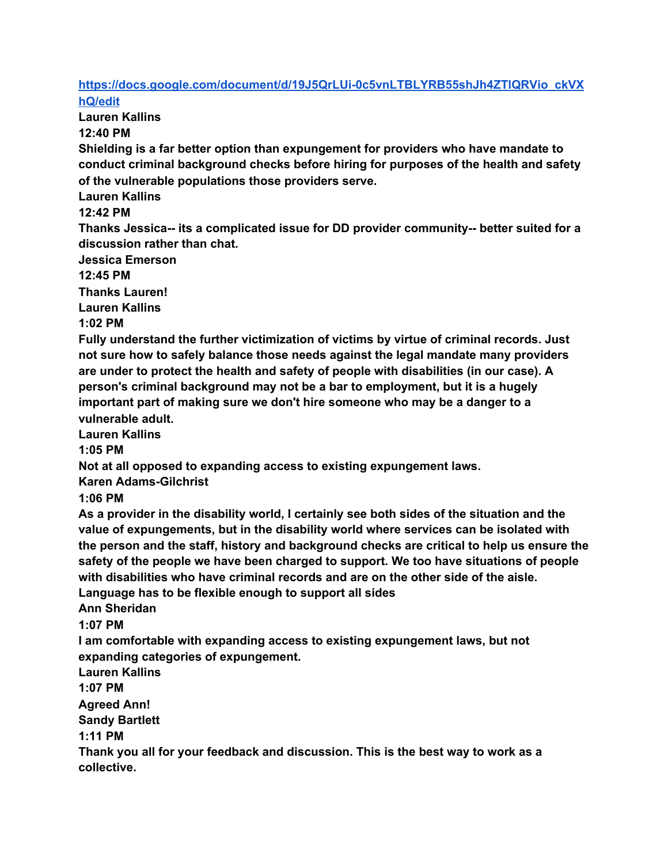## **[https://docs.google.com/document/d/19J5QrLUi-0c5vnLTBLYRB55shJh4ZTlQRVio\\_ckVX](https://meet.google.com/linkredirect?authuser=1&dest=https%3A%2F%2Fdocs.google.com%2Fdocument%2Fd%2F19J5QrLUi-0c5vnLTBLYRB55shJh4ZTlQRVio_ckVXhQ%2Fedit) [hQ/edit](https://meet.google.com/linkredirect?authuser=1&dest=https%3A%2F%2Fdocs.google.com%2Fdocument%2Fd%2F19J5QrLUi-0c5vnLTBLYRB55shJh4ZTlQRVio_ckVXhQ%2Fedit)**

**Lauren Kallins**

**12:40 PM**

**Shielding is a far better option than expungement for providers who have mandate to conduct criminal background checks before hiring for purposes of the health and safety of the vulnerable populations those providers serve.**

**Lauren Kallins**

**12:42 PM**

**Thanks Jessica-- its a complicated issue for DD provider community-- better suited for a discussion rather than chat.**

**Jessica Emerson**

**12:45 PM**

**Thanks Lauren!**

**Lauren Kallins**

**1:02 PM**

**Fully understand the further victimization of victims by virtue of criminal records. Just not sure how to safely balance those needs against the legal mandate many providers are under to protect the health and safety of people with disabilities (in our case). A person's criminal background may not be a bar to employment, but it is a hugely important part of making sure we don't hire someone who may be a danger to a vulnerable adult.**

**Lauren Kallins**

**1:05 PM**

**Not at all opposed to expanding access to existing expungement laws.**

**Karen Adams-Gilchrist**

**1:06 PM**

**As a provider in the disability world, I certainly see both sides of the situation and the value of expungements, but in the disability world where services can be isolated with the person and the staff, history and background checks are critical to help us ensure the safety of the people we have been charged to support. We too have situations of people with disabilities who have criminal records and are on the other side of the aisle. Language has to be flexible enough to support all sides**

**Ann Sheridan**

**1:07 PM**

**I am comfortable with expanding access to existing expungement laws, but not expanding categories of expungement.**

**Lauren Kallins**

**1:07 PM**

**Agreed Ann!**

**Sandy Bartlett**

**1:11 PM**

**Thank you all for your feedback and discussion. This is the best way to work as a collective.**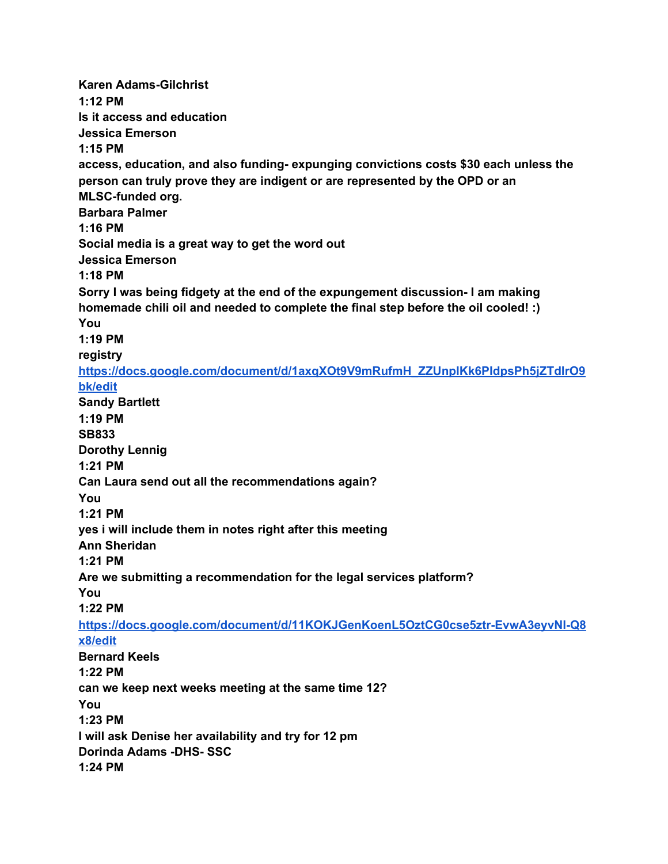**Karen Adams-Gilchrist 1:12 PM Is it access and education Jessica Emerson 1:15 PM access, education, and also funding- expunging convictions costs \$30 each unless the person can truly prove they are indigent or are represented by the OPD or an MLSC-funded org. Barbara Palmer 1:16 PM Social media is a great way to get the word out Jessica Emerson 1:18 PM Sorry I was being fidgety at the end of the expungement discussion- I am making homemade chili oil and needed to complete the final step before the oil cooled! :) You 1:19 PM registr[y](https://meet.google.com/linkredirect?authuser=1&dest=https%3A%2F%2Fdocs.google.com%2Fdocument%2Fd%2F1axqXOt9V9mRufmH_ZZUnplKk6PIdpsPh5jZTdlrO9bk%2Fedit) [https://docs.google.com/document/d/1axqXOt9V9mRufmH\\_ZZUnplKk6PIdpsPh5jZTdlrO9](https://meet.google.com/linkredirect?authuser=1&dest=https%3A%2F%2Fdocs.google.com%2Fdocument%2Fd%2F1axqXOt9V9mRufmH_ZZUnplKk6PIdpsPh5jZTdlrO9bk%2Fedit) [bk/edit](https://meet.google.com/linkredirect?authuser=1&dest=https%3A%2F%2Fdocs.google.com%2Fdocument%2Fd%2F1axqXOt9V9mRufmH_ZZUnplKk6PIdpsPh5jZTdlrO9bk%2Fedit) Sandy Bartlett 1:19 PM SB833 Dorothy Lennig 1:21 PM Can Laura send out all the recommendations again? You 1:21 PM yes i will include them in notes right after this meeting Ann Sheridan 1:21 PM Are we submitting a recommendation for the legal services platform? You 1:22 PM [https://docs.google.com/document/d/11KOKJGenKoenL5OztCG0cse5ztr-EvwA3eyvNl-Q8](https://meet.google.com/linkredirect?authuser=1&dest=https%3A%2F%2Fdocs.google.com%2Fdocument%2Fd%2F11KOKJGenKoenL5OztCG0cse5ztr-EvwA3eyvNl-Q8x8%2Fedit) [x8/edit](https://meet.google.com/linkredirect?authuser=1&dest=https%3A%2F%2Fdocs.google.com%2Fdocument%2Fd%2F11KOKJGenKoenL5OztCG0cse5ztr-EvwA3eyvNl-Q8x8%2Fedit) Bernard Keels 1:22 PM can we keep next weeks meeting at the same time 12? You 1:23 PM I will ask Denise her availability and try for 12 pm Dorinda Adams -DHS- SSC 1:24 PM**